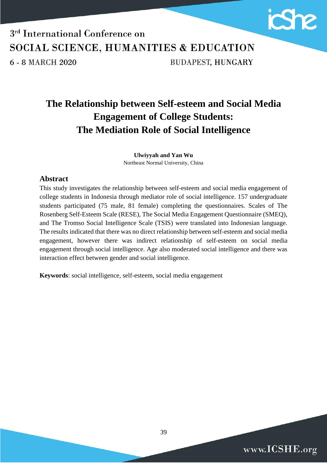

### 3<sup>rd</sup> International Conference on SOCIAL SCIENCE, HUMANITIES & EDUCATION **BUDAPEST, HUNGARY** 6 - 8 MARCH 2020

### **The Relationship between Self-esteem and Social Media Engagement of College Students: The Mediation Role of Social Intelligence**

**Ulwiyyah and Yan Wu** Northeast Normal University, China

#### **Abstract**

This study investigates the relationship between self-esteem and social media engagement of college students in Indonesia through mediator role of social intelligence. 157 undergraduate students participated (75 male, 81 female) completing the questionnaires. Scales of The Rosenberg Self-Esteem Scale (RESE), The Social Media Engagement Questionnaire (SMEQ), and The Tromso Social Intelligence Scale (TSIS) were translated into Indonesian language. The results indicated that there was no direct relationship between self-esteem and social media engagement, however there was indirect relationship of self-esteem on social media engagement through social intelligence. Age also moderated social intelligence and there was interaction effect between gender and social intelligence.

**Keywords**: social intelligence, self-esteem, social media engagement

www.ICSHE.org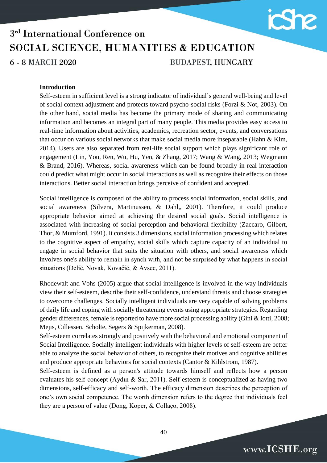

### 3<sup>rd</sup> International Conference on SOCIAL SCIENCE, HUMANITIES & EDUCATION **BUDAPEST, HUNGARY** 6 - 8 MARCH 2020

#### **Introduction**

Self-esteem in sufficient level is a strong indicator of individual's general well-being and level of social context adjustment and protects toward psycho-social risks (Forzi & Not, 2003). On the other hand, social media has become the primary mode of sharing and communicating information and becomes an integral part of many people. This media provides easy access to real-time information about activities, academics, recreation sector, events, and conversations that occur on various social networks that make social media more inseparable (Hahn  $\&$  Kim, 2014). Users are also separated from real-life social support which plays significant role of engagement (Lin, You, Ren, Wu, Hu, Yen, & Zhang, 2017; Wang & Wang, 2013; Wegmann & Brand, 2016). Whereas, social awareness which can be found broadly in real interaction could predict what might occur in social interactions as well as recognize their effects on those interactions. Better social interaction brings perceive of confident and accepted.

Social intelligence is composed of the ability to process social information, social skills, and social awareness [\(Silvera,](https://onlinelibrary.wiley.com/action/doSearch?ContribAuthorStored=Silvera%2C+David) [Martinussen,](https://onlinelibrary.wiley.com/action/doSearch?ContribAuthorStored=Martinussen%2C+Monica) & [Dahl,](https://onlinelibrary.wiley.com/action/doSearch?ContribAuthorStored=Dahl%2C+Tove+I), 2001). Therefore, it could produce appropriate behavior aimed at achieving the desired social goals. Social intelligence is associated with increasing of social perception and behavioral flexibility (Zaccaro, Gilbert, Thor, & Mumford, 1991). It consists 3 dimensions, social information processing which relates to the cognitive aspect of empathy, social skills which capture capacity of an individual to engage in social behavior that suits the situation with others, and social awareness which involves one's ability to remain in synch with, and not be surprised by what happens in social situations (Delič, Novak, Kovačič, & Avsec, 2011).

Rhodewalt and Vohs (2005) argue that social intelligence is involved in the way individuals view their self-esteem, describe their self-confidence, understand threats and choose strategies to overcome challenges. Socially intelligent individuals are very capable of solving problems of daily life and coping with socially threatening events using appropriate strategies. Regarding gender differences, female is reported to have more social processing ability (Gini & Iotti, 2008; Mejis, Cillessen, Scholte, Segers & Spijkerman, 2008).

Self-esteem correlates strongly and positively with the behavioral and emotional component of Social Intelligence. Socially intelligent individuals with higher levels of self-esteem are better able to analyze the social behavior of others, to recognize their motives and cognitive abilities and produce appropriate behaviors for social contexts (Cantor & Kihlstrom, 1987).

Self-esteem is defined as a person's attitude towards himself and reflects how a person evaluates his self-concept (Aydın & Sar, 2011). Self-esteem is conceptualized as having two dimensions, self-efficacy and self-worth. The efficacy dimension describes the perception of one's own social competence. The worth dimension refers to the degree that individuals feel they are a person of value (Dong, Koper, & Collaço, 2008).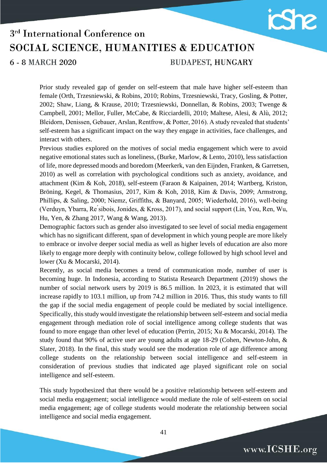

6 - 8 MARCH 2020

**BUDAPEST, HUNGARY** 

Prior study revealed gap of gender on self-esteem that male have higher self-esteem than female (Orth, Trzesniewski, & Robins, 2010; Robins, Trzesniewski, Tracy, Gosling, & Potter, 2002; Shaw, Liang, & Krause, 2010; Trzesniewski, Donnellan, & Robins, 2003; Twenge & Campbell, 2001; Mellor, Fuller, McCabe, & Ricciardelli, 2010; Maltese, Alesi, & Alù, 2012; Bleidorn, Denissen, Gebauer, Arslan, Rentfrow, & Potter, 2016). A study revealed that students' self-esteem has a significant impact on the way they engage in activities, face challenges, and interact with others.

Previous studies explored on the motives of social media engagement which were to avoid negative emotional states such as loneliness, (Burke, Marlow, & Lento, 2010), less satisfaction of life, more depressed moods and boredom (Meerkerk, van den Eijnden, Franken, & Garretsen, 2010) as well as correlation with psychological conditions such as anxiety, avoidance, and attachment (Kim & Koh, 2018), self-esteem (Faraon & Kaipainen, 2014; Wartberg, Kriston, Bröning, Kegel, & Thomasius, 2017, Kim & Koh, 2018, Kim & Davis, 2009; Armstrong, Phillips, & Saling, 2000; Niemz, Griffiths, & Banyard, 2005; Wiederhold, 2016), well-being (Verduyn, Ybarra, Re ́sibois, Jonides, & Kross, 2017), and social support (Lin, You, Ren, Wu, Hu, Yen, & Zhang 2017, Wang & Wang, 2013).

Demographic factors such as gender also investigated to see level of social media engagement which has no significant different, span of development in which young people are more likely to embrace or involve deeper social media as well as higher levels of education are also more likely to engage more deeply with continuity below, college followed by high school level and lower (Xu & Mocarski, 2014).

Recently, as social media becomes a trend of communication mode, number of user is becoming huge. In Indonesia, according to Statista Research [Department](https://www.statista.com/aboutus/our-research-commitment) (2019) shows the number of social network users by 2019 is 86.5 million. In 2023, it is estimated that will increase rapidly to 103.1 million, up from 74.2 million in 2016. Thus, this study wants to fill the gap if the social media engagement of people could be mediated by social intelligence. Specifically, this study would investigate the relationship between self-esteem and social media engagement through mediation role of social intelligence among college students that was found to more engage than other level of education (Perrin, 2015; Xu & Mocarski, 2014). The study found that 90% of active user are young adults at age 18-29 (Cohen, Newton-John, & Slater, 2018). In the final, this study would see the moderation role of age difference among college students on the relationship between social intelligence and self-esteem in consideration of previous studies that indicated age played significant role on social intelligence and self-esteem.

This study hypothesized that there would be a positive relationship between self-esteem and social media engagement; social intelligence would mediate the role of self-esteem on social media engagement; age of college students would moderate the relationship between social intelligence and social media engagement.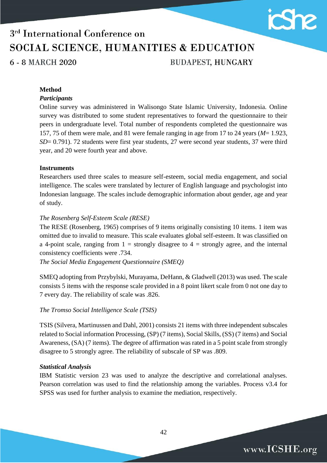

www.ICSHE.org

# 3<sup>rd</sup> International Conference on SOCIAL SCIENCE, HUMANITIES & EDUCATION

6 - 8 MARCH 2020

**BUDAPEST, HUNGARY** 

#### **Method**

#### *Participants*

Online survey was administered in Walisongo State Islamic University, Indonesia. Online survey was distributed to some student representatives to forward the questionnaire to their peers in undergraduate level. Total number of respondents completed the questionnaire was 157, 75 of them were male, and 81 were female ranging in age from 17 to 24 years (*M*= 1.923, *SD*= 0.791). 72 students were first year students, 27 were second year students, 37 were third year, and 20 were fourth year and above.

#### **Instruments**

Researchers used three scales to measure self-esteem, social media engagement, and social intelligence. The scales were translated by lecturer of English language and psychologist into Indonesian language. The scales include demographic information about gender, age and year of study.

#### *The Rosenberg Self-Esteem Scale (RESE)*

The RESE (Rosenberg, 1965) comprises of 9 items originally consisting 10 items. 1 item was omitted due to invalid to measure. This scale evaluates global self-esteem. It was classified on a 4-point scale, ranging from  $1 =$  strongly disagree to  $4 =$  strongly agree, and the internal consistency coefficients were .734.

*The Social Media Engagement Questionnaire (SMEQ)*

SMEQ adopting from Przybylski, Murayama, DeHann, & Gladwell (2013) was used. The scale consists 5 items with the response scale provided in a 8 point likert scale from 0 not one day to 7 every day. The reliability of scale was .826.

#### *The Tromso Social Intelligence Scale (TSIS)*

TSIS (Silvera, Martinussen and Dahl, 2001) consists 21 items with three independent subscales related to Social information Processing, (SP) (7 items), Social Skills, (SS) (7 items) and Social Awareness, (SA) (7 items). The degree of affirmation was rated in a 5 point scale from strongly disagree to 5 strongly agree. The reliability of subscale of SP was .809.

#### *Statistical Analysis*

IBM Statistic version 23 was used to analyze the descriptive and correlational analyses. Pearson correlation was used to find the relationship among the variables. Process v3.4 for SPSS was used for further analysis to examine the mediation, respectively.

42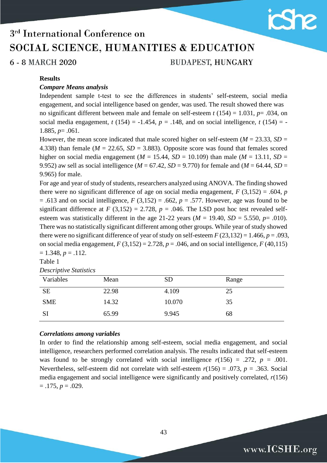

6 - 8 MARCH 2020

**BUDAPEST, HUNGARY** 

#### **Results**

#### *Compare Means analysis*

Independent sample t-test to see the differences in students' self-esteem, social media engagement, and social intelligence based on gender, was used. The result showed there was no significant different between male and female on self-esteem *t* (154) = 1.031, *p*= .034, on social media engagement,  $t(154) = -1.454$ ,  $p = .148$ , and on social intelligence,  $t(154) = -$ 1.885, *p*= .061.

However, the mean score indicated that male scored higher on self-esteem ( $M = 23.33$ ,  $SD =$ 4.338) than female ( $M = 22.65$ ,  $SD = 3.883$ ). Opposite score was found that females scored higher on social media engagement ( $M = 15.44$ ,  $SD = 10.109$ ) than male ( $M = 13.11$ ,  $SD =$ 9.952) aw sell as social intelligence ( $M = 67.42$ ,  $SD = 9.770$ ) for female and ( $M = 64.44$ ,  $SD =$ 9.965) for male.

For age and year of study of students, researchers analyzed using ANOVA. The finding showed there were no significant difference of age on social media engagement,  $F(3,152) = .604$ , *p*  $= .613$  and on social intelligence,  $F(3,152) = .662$ ,  $p = .577$ . However, age was found to be significant difference at  $F(3,152) = 2.728$ ,  $p = .046$ . The LSD post hoc test revealed selfesteem was statistically different in the age 21-22 years ( $M = 19.40$ ,  $SD = 5.550$ ,  $p = .010$ ). There was no statistically significant different among other groups. While year of study showed there were no significant difference of year of study on self-esteem  $F(23,132) = 1.466$ ,  $p = .093$ , on social media engagement,  $F(3,152) = 2.728$ ,  $p = .046$ , and on social intelligence,  $F(40,115)$  $= 1.348, p = .112.$ 

Table 1

| <b>Descriptive Statistics</b> |  |
|-------------------------------|--|
|                               |  |

| Variables  | Mean  | <b>SD</b> | Range |
|------------|-------|-----------|-------|
| <b>SE</b>  | 22.98 | 4.109     | 25    |
| <b>SME</b> | 14.32 | 10.070    | 35    |
| SI         | 65.99 | 9.945     | 68    |

#### *Correlations among variables*

In order to find the relationship among self-esteem, social media engagement, and social intelligence, researchers performed correlation analysis. The results indicated that self-esteem was found to be strongly correlated with social intelligence  $r(156) = .272$ ,  $p = .001$ . Nevertheless, self-esteem did not correlate with self-esteem *r*(156) = .073, *p* = .363. Social media engagement and social intelligence were significantly and positively correlated, *r*(156)  $= .175, p = .029.$ 

43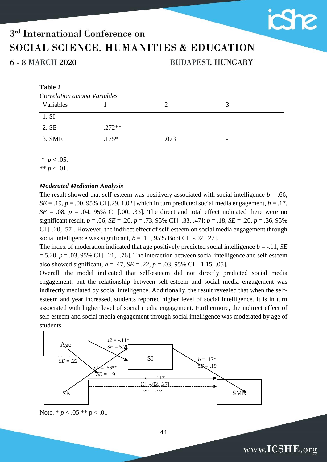6 - 8 MARCH 2020

**BUDAPEST, HUNGARY** 

**She** 

www.ICSHE.org

#### **Table 2**

| <b>Correlation among Variables</b> |          |                          |                          |  |  |
|------------------------------------|----------|--------------------------|--------------------------|--|--|
| Variables                          |          |                          |                          |  |  |
| 1. SI                              |          |                          |                          |  |  |
| 2. SE                              | $.272**$ | $\overline{\phantom{0}}$ |                          |  |  |
| 3. SME                             | $.175*$  | .073                     | $\overline{\phantom{0}}$ |  |  |

 $*$  *p* < .05.

\*\*  $p < .01$ .

#### *Moderated Mediation Analysis*

The result showed that self-esteem was positively associated with social intelligence  $b = .66$ ,  $SE = .19$ ,  $p = .00$ , 95% CI [.29, 1.02] which in turn predicted social media engagement,  $b = .17$ ,  $SE = .08$ ,  $p = .04$ , 95% CI [.00, .33]. The direct and total effect indicated there were no significant result,  $b = .06$ ,  $SE = .20$ ,  $p = .73$ ,  $95\%$  CI [-.33, .47];  $b = .18$ ,  $SE = .20$ ,  $p = .36$ ,  $95\%$ CI [-.20, .57]. However, the indirect effect of self-esteem on social media engagement through social intelligence was significant,  $b = .11$ , 95% Boot CI [-.02, .27].

The index of moderation indicated that age positively predicted social intelligence  $b = -.11$ , *SE*  $= 5.20, p = .03, 95\% \text{ CI}$  [-.21, -.76]. The interaction between social intelligence and self-esteem also showed significant,  $b = .47$ ,  $SE = .22$ ,  $p = .03$ , 95% CI [-1.15, .05].

Overall, the model indicated that self-esteem did not directly predicted social media engagement, but the relationship between self-esteem and social media engagement was indirectly mediated by social intelligence. Additionally, the result revealed that when the selfesteem and year increased, students reported higher level of social intelligence. It is in turn associated with higher level of social media engagement. Furthermore, the indirect effect of self-esteem and social media engagement through social intelligence was moderated by age of students.



Note. \* *p* < .05 \*\* p < .01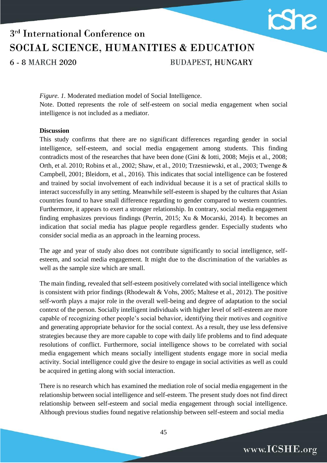

6 - 8 MARCH 2020

**BUDAPEST, HUNGARY** 

*Figure. 1.* Moderated mediation model of Social Intelligence. Note. Dotted represents the role of self-esteem on social media engagement when social intelligence is not included as a mediator.

#### **Discussion**

This study confirms that there are no significant differences regarding gender in social intelligence, self-esteem, and social media engagement among students. This finding contradicts most of the researches that have been done (Gini & Iotti, 2008; Mejis et al., 2008; Orth, et al. 2010; Robins et al., 2002; Shaw, et al., 2010; Trzesniewski, et al., 2003; Twenge & Campbell, 2001; Bleidorn, et al., 2016). This indicates that social intelligence can be fostered and trained by social involvement of each individual because it is a set of practical skills to interact successfully in any setting. Meanwhile self-esteem is shaped by the cultures that Asian countries found to have small difference regarding to gender compared to western countries. Furthermore, it appears to exert a stronger relationship. In contrary, social media engagement finding emphasizes previous findings (Perrin, 2015; Xu & Mocarski, 2014). It becomes an indication that social media has plague people regardless gender. Especially students who consider social media as an approach in the learning process.

The age and year of study also does not contribute significantly to social intelligence, selfesteem, and social media engagement. It might due to the discrimination of the variables as well as the sample size which are small.

The main finding, revealed that self-esteem positively correlated with social intelligence which is consistent with prior findings (Rhodewalt & Vohs, 2005; Maltese et al., 2012). The positive self-worth plays a major role in the overall well-being and degree of adaptation to the social context of the person. Socially intelligent individuals with higher level of self-esteem are more capable of recognizing other people's social behavior, identifying their motives and cognitive and generating appropriate behavior for the social context. As a result, they use less defensive strategies because they are more capable to cope with daily life problems and to find adequate resolutions of conflict. Furthermore, social intelligence shows to be correlated with social media engagement which means socially intelligent students engage more in social media activity. Social intelligence could give the desire to engage in social activities as well as could be acquired in getting along with social interaction.

There is no research which has examined the mediation role of social media engagement in the relationship between social intelligence and self-esteem. The present study does not find direct relationship between self-esteem and social media engagement through social intelligence. Although previous studies found negative relationship between self-esteem and social media

www.ICSHE.org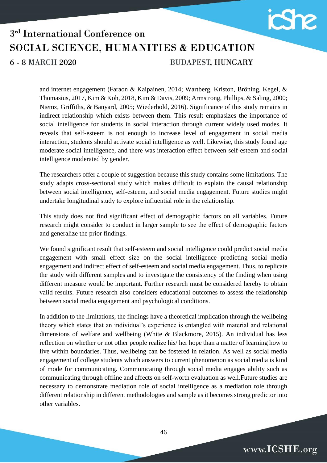

### 3<sup>rd</sup> International Conference on SOCIAL SCIENCE, HUMANITIES & EDUCATION **BUDAPEST, HUNGARY** 6 - 8 MARCH 2020

and internet engagement (Faraon & Kaipainen, 2014; Wartberg, Kriston, Bröning, Kegel, & Thomasius, 2017, Kim & Koh, 2018, Kim & Davis, 2009; Armstrong, Phillips, & Saling, 2000; Niemz, Griffiths, & Banyard, 2005; Wiederhold, 2016). Significance of this study remains in indirect relationship which exists between them. This result emphasizes the importance of social intelligence for students in social interaction through current widely used modes. It reveals that self-esteem is not enough to increase level of engagement in social media interaction, students should activate social intelligence as well. Likewise, this study found age moderate social intelligence, and there was interaction effect between self-esteem and social intelligence moderated by gender.

The researchers offer a couple of suggestion because this study contains some limitations. The study adapts cross-sectional study which makes difficult to explain the causal relationship between social intelligence, self-esteem, and social media engagement. Future studies might undertake longitudinal study to explore influential role in the relationship.

This study does not find significant effect of demographic factors on all variables. Future research might consider to conduct in larger sample to see the effect of demographic factors and generalize the prior findings.

We found significant result that self-esteem and social intelligence could predict social media engagement with small effect size on the social intelligence predicting social media engagement and indirect effect of self-esteem and social media engagement. Thus, to replicate the study with different samples and to investigate the consistency of the finding when using different measure would be important. Further research must be considered hereby to obtain valid results. Future research also considers educational outcomes to assess the relationship between social media engagement and psychological conditions.

In addition to the limitations, the findings have a theoretical implication through the wellbeing theory which states that an individual's experience is entangled with material and relational dimensions of welfare and wellbeing (White & Blackmore, 2015). An individual has less reflection on whether or not other people realize his/ her hope than a matter of learning how to live within boundaries. Thus, wellbeing can be fostered in relation. As well as social media engagement of college students which answers to current phenomenon as social media is kind of mode for communicating. Communicating through social media engages ability such as communicating through offline and affects on self-worth evaluation as well.Future studies are necessary to demonstrate mediation role of social intelligence as a mediation role through different relationship in different methodologies and sample as it becomes strong predictor into other variables.

www.ICSHE.org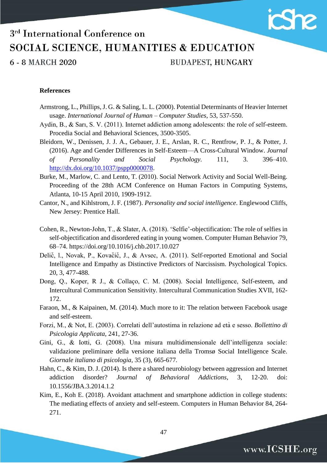

6 - 8 MARCH 2020

**BUDAPEST, HUNGARY** 

#### **References**

- Armstrong, L., Phillips, J. G. & Saling, L. L. (2000). Potential Determinants of Heavier Internet usage. *International Journal of Human – Computer Studies*, 53, 537-550.
- Aydin, B., & Sarı, S. V. (2011). Internet addiction among adolescents: the role of self-esteem. Procedia Social and Behavioral Sciences, 3500-3505.
- Bleidorn, W., Denissen, J. J. A., Gebauer, J. E., Arslan, R. C., Rentfrow, P. J., & Potter, J. (2016). Age and Gender Differences in Self-Esteem—A Cross-Cultural Window. *Journal of Personality and Social Psychology.* 111, 3. 396–410. [http://dx.doi.org/10.1037/pspp0000078.](http://dx.doi.org/10.1037/pspp0000078)
- Burke, M., Marlow, C. and Lento, T. (2010). Social Network Activity and Social Well-Being. Proceeding of the 28th ACM Conference on Human Factors in Computing Systems, Atlanta, 10-15 April 2010, 1909-1912.
- Cantor, N., and Kihlstrom, J. F. (1987). *Personality and social intelligence*. Englewood Cliffs, New Jersey: Prentice Hall.
- Cohen, R., Newton-John, T., & Slater, A. (2018). 'Selfie'-objectification: The role of selfies in self-objectification and disordered eating in young women. Computer Human Behavior 79, 68–74. https://doi.org/10.1016/j.chb.2017.10.027
- Delič, l., Novak, P., Kovačič, J., & Avsec, A. (2011). Self-reported Emotional and Social Intelligence and Empathy as Distinctive Predictors of Narcissism. Psychological Topics. 20, 3, 477-488.
- Dong, Q., Koper, R J., & Collaço, C. M. (2008). Social Intelligence, Self-esteem, and Intercultural Communication Sensitivity. Intercultural Communication Studies XVII, 162- 172.
- Faraon, M., & Kaipainen, M. (2014). Much more to it: The relation between Facebook usage and self-esteem.
- Forzi, M., & Not, E. (2003). Correlati dell'autostima in relazione ad età e sesso. *Bollettino di Psicologia Applicata*, 241, 27-36.
- Gini, G., & Iotti, G. (2008). Una misura multidimensionale dell'intelligenza sociale: validazione preliminare della versione italiana della Tromsø Social Intelligence Scale. *Giornale italiano di psicologia,* 35 (3), 665-677*.*
- Hahn, C., & Kim, D. J. (2014). Is there a shared neurobiology between aggression and Internet addiction disorder? *Journal of Behavioral Addictions*, 3, 12-20. doi: 10.1556/JBA.3.2014.1.2
- Kim, E., Koh E. (2018). Avoidant attachment and smartphone addiction in college students: The mediating effects of anxiety and self-esteem. Computers in Human Behavior 84, 264- 271.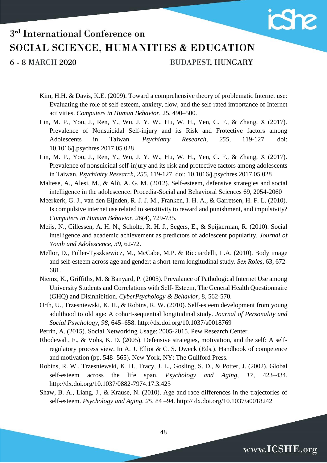

6 - 8 MARCH 2020

**BUDAPEST, HUNGARY** 

- Kim, H.H. & Davis, K.E. (2009). Toward a comprehensive theory of problematic Internet use: Evaluating the role of self-esteem, anxiety, flow, and the self-rated importance of Internet activities. *Computers in Human Behavior,* 25, 490–500.
- Lin, M. P., You, J., Ren, Y., Wu, J. Y. W., Hu, W. H., Yen, C. F., & Zhang, X (2017). Prevalence of Nonsuicidal Self-injury and its Risk and Frotective factors among Adolescents in Taiwan. *Psychiatry Research, 255,* 119-127. doi: 10.1016/j.psychres.2017.05.028
- Lin, M. P., You, J., Ren, Y., Wu, J. Y. W., Hu, W. H., Yen, C. F., & Zhang, X (2017). Prevalence of nonsuicidal self-injury and its risk and protective factors among adolescents in Taiwan. *Psychiatry Research, 255,* 119-127. doi: 10.1016/j.psychres.2017.05.028
- Maltese, A., Alesi, M., & Alù, A. G. M. (2012). Self-esteem, defensive strategies and social intelligence in the adolescence. Procedia-Social and Behavioral Sciences 69, 2054-2060
- Meerkerk, G. J., van den Eijnden, R. J. J. M., Franken, I. H. A., & Garretsen, H. F. L. (2010). Is compulsive internet use related to sensitivity to reward and punishment, and impulsivity? *Computers in Human Behavior*, *26*(4), 729-735.
- Meijs, N., Cillessen, A. H. N., Scholte, R. H. J., Segers, E., & Spijkerman, R. (2010). Social intelligence and academic achievement as predictors of adolescent popularity. *Journal of Youth and Adolescence*, *39*, 62-72.
- Mellor, D., Fuller-Tyszkiewicz, M., McCabe, M.P. & Ricciardelli, L.A. (2010). Body image and self-esteem across age and gender: a short-term longitudinal study. *Sex Roles*, 63, 672- 681.
- Niemz, K., Griffiths, M. & Banyard, P. (2005). Prevalance of Pathological Internet Use among University Students and Correlations with Self- Esteem, The General Health Questionnaire (GHQ) and Disinhibition. *CyberPsychology & Behavior*, 8, 562-570.
- Orth, U., Trzesniewski, K. H., & Robins, R. W. (2010). Self-esteem development from young adulthood to old age: A cohort-sequential longitudinal study. *Journal of Personality and Social Psychology, 98,* 645–658. http://dx.doi.org/10.1037/a0018769
- Perrin, A. (2015). Social Networking Usage: 2005-2015. Pew Research Center.
- Rhodewalt, F., & Vohs, K. D. (2005). Defensive strategies, motivation, and the self: A selfregulatory process view. In A. J. Elliot & C. S. Dweck (Eds.). Handbook of competence and motivation (pp. 548- 565). New York, NY: The Guilford Press.
- Robins, R. W., Trzesniewski, K. H., Tracy, J. L., Gosling, S. D., & Potter, J. (2002). Global self-esteem across the life span. *Psychology and Aging, 17,* 423–434. http://dx.doi.org/10.1037/0882-7974.17.3.423
- Shaw, B. A., Liang, J., & Krause, N. (2010). Age and race differences in the trajectories of self-esteem. *Psychology and Aging, 25,* 84 –94. http:// dx.doi.org/10.1037/a0018242

www.ICSHE.org